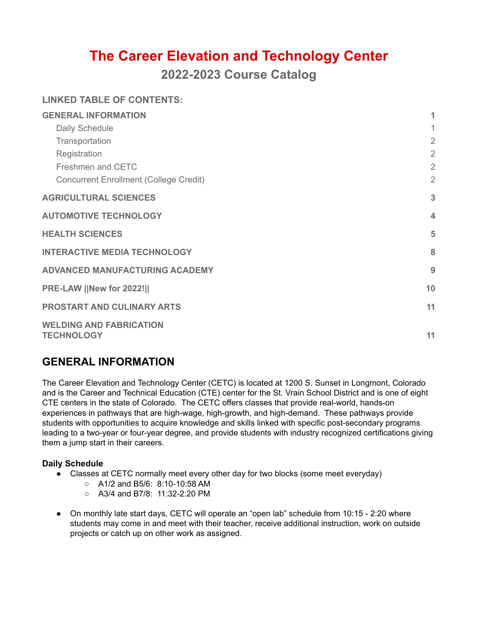# **The Career Elevation and Technology Center**

**2022-2023 Course Catalog**

|  | <b>LINKED TABLE OF CONTENTS:</b> |
|--|----------------------------------|
|  |                                  |

| <b>GENERAL INFORMATION</b>                          | 1              |
|-----------------------------------------------------|----------------|
| Daily Schedule                                      | $\mathbf{1}$   |
| Transportation                                      | $\overline{2}$ |
| Registration                                        | $\overline{2}$ |
| Freshmen and CETC                                   | $\overline{2}$ |
| <b>Concurrent Enrollment (College Credit)</b>       | $\overline{2}$ |
| <b>AGRICULTURAL SCIENCES</b>                        | 3              |
| <b>AUTOMOTIVE TECHNOLOGY</b>                        | $\overline{4}$ |
| <b>HEALTH SCIENCES</b>                              | 5              |
| <b>INTERACTIVE MEDIA TECHNOLOGY</b>                 | 8              |
| <b>ADVANCED MANUFACTURING ACADEMY</b>               | 9              |
| <b>PRE-LAW   New for 2022!  </b>                    | 10             |
| <b>PROSTART AND CULINARY ARTS</b>                   | 11             |
| <b>WELDING AND FABRICATION</b><br><b>TECHNOLOGY</b> | 11             |

# <span id="page-0-0"></span>**GENERAL INFORMATION**

The Career Elevation and Technology Center (CETC) is located at 1200 S. Sunset in Longmont, Colorado and is the Career and Technical Education (CTE) center for the St. Vrain School District and is one of eight CTE centers in the state of Colorado. The CETC offers classes that provide real-world, hands-on experiences in pathways that are high-wage, high-growth, and high-demand. These pathways provide students with opportunities to acquire knowledge and skills linked with specific post-secondary programs leading to a two-year or four-year degree, and provide students with industry recognized certifications giving them a jump start in their careers.

#### <span id="page-0-1"></span>**Daily Schedule**

- Classes at CETC normally meet every other day for two blocks (some meet everyday)
	- A1/2 and B5/6: 8:10-10:58 AM
	- $\circ$  A3/4 and B7/8: 11:32-2:20 PM
- On monthly late start days, CETC will operate an "open lab" schedule from 10:15 2:20 where students may come in and meet with their teacher, receive additional instruction, work on outside projects or catch up on other work as assigned.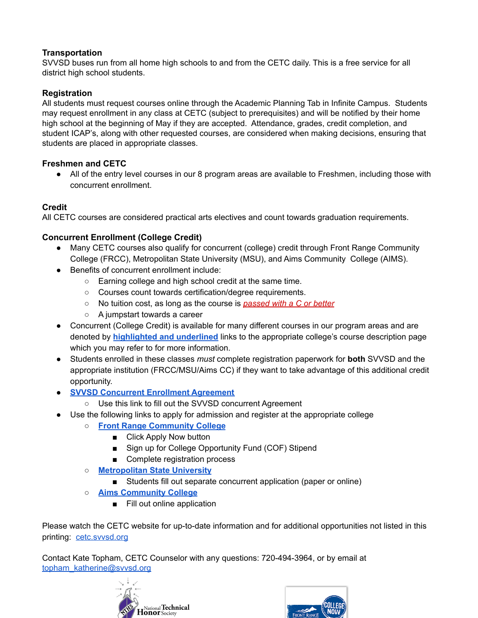### <span id="page-1-0"></span>**Transportation**

SVVSD buses run from all home high schools to and from the CETC daily. This is a free service for all district high school students.

# <span id="page-1-1"></span>**Registration**

All students must request courses online through the Academic Planning Tab in Infinite Campus. Students may request enrollment in any class at CETC (subject to prerequisites) and will be notified by their home high school at the beginning of May if they are accepted. Attendance, grades, credit completion, and student ICAP's, along with other requested courses, are considered when making decisions, ensuring that students are placed in appropriate classes.

# <span id="page-1-2"></span>**Freshmen and CETC**

● All of the entry level courses in our 8 program areas are available to Freshmen, including those with concurrent enrollment.

### **Credit**

All CETC courses are considered practical arts electives and count towards graduation requirements.

# <span id="page-1-3"></span>**Concurrent Enrollment (College Credit)**

- Many CETC courses also qualify for concurrent (college) credit through Front Range Community College (FRCC), Metropolitan State University (MSU), and Aims Community College (AIMS).
- Benefits of concurrent enrollment include:
	- Earning college and high school credit at the same time.
	- Courses count towards certification/degree requirements.
	- No tuition cost, as long as the course is *passed with a C or better*
	- A jumpstart towards a career
- Concurrent (College Credit) is available for many different courses in our program areas and are denoted by **highlighted and underlined** links to the appropriate college's course description page which you may refer to for more information.
- Students enrolled in these classes *must* complete registration paperwork for **both** SVVSD and the appropriate institution (FRCC/MSU/Aims CC) if they want to take advantage of this additional credit opportunity.
- **[SVVSD Concurrent Enrollment Agreement](https://concurrent.svvsd.org/)**
	- Use this link to fill out the SVVSD concurrent Agreement
- Use the following links to apply for admission and register at the appropriate college
	- **[Front Range Community College](https://www.frontrange.edu/)**
		- Click Apply Now button
		- Sign up for College Opportunity Fund (COF) Stipend
		- Complete registration process
	- **[Metropolitan State University](https://www.msudenver.edu/innovative-lifelong-learning/college-credit-in-high-school/concurrent-enrollment/)**
		- Students fill out separate concurrent application (paper or online)
	- **[Aims Community College](https://www.aims.edu/)**
		- Fill out online application

Please watch the CETC website for up-to-date information and for additional opportunities not listed in this printing: [cetc.svvsd.org](https://cetc.svvsd.org/)

Contact Kate Topham, CETC Counselor with any questions: 720-494-3964, or by email at [topham\\_katherine@svvsd.org](mailto:topham_katherine@svvsd.org)



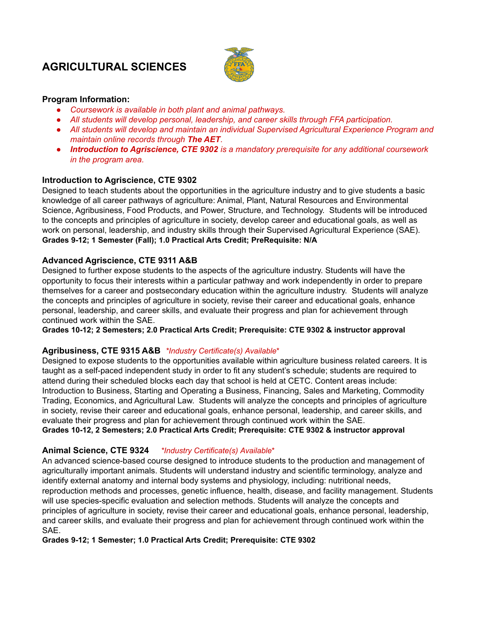# <span id="page-2-0"></span>**AGRICULTURAL SCIENCES**



#### **Program Information:**

- *● Coursework is available in both plant and animal pathways.*
- *● All students will develop personal, leadership, and career skills through FFA participation.*
- *● All students will develop and maintain an individual Supervised Agricultural Experience Program and maintain online records through The AET.*
- *● Introduction to Agriscience, CTE 9302 is a mandatory prerequisite for any additional coursework in the program area.*

#### **Introduction to Agriscience, CTE 9302**

Designed to teach students about the opportunities in the agriculture industry and to give students a basic knowledge of all career pathways of agriculture: Animal, Plant, Natural Resources and Environmental Science, Agribusiness, Food Products, and Power, Structure, and Technology. Students will be introduced to the concepts and principles of agriculture in society, develop career and educational goals, as well as work on personal, leadership, and industry skills through their Supervised Agricultural Experience (SAE). **Grades 9-12; 1 Semester (Fall); 1.0 Practical Arts Credit; PreRequisite: N/A**

#### **Advanced Agriscience, CTE 9311 A&B**

Designed to further expose students to the aspects of the agriculture industry. Students will have the opportunity to focus their interests within a particular pathway and work independently in order to prepare themselves for a career and postsecondary education within the agriculture industry. Students will analyze the concepts and principles of agriculture in society, revise their career and educational goals, enhance personal, leadership, and career skills, and evaluate their progress and plan for achievement through continued work within the SAE.

**Grades 10-12; 2 Semesters; 2.0 Practical Arts Credit; Prerequisite: CTE 9302 & instructor approval**

#### **Agribusiness, CTE 9315 A&B** *\*Industry Certificate(s) Available*\*

Designed to expose students to the opportunities available within agriculture business related careers. It is taught as a self-paced independent study in order to fit any student's schedule; students are required to attend during their scheduled blocks each day that school is held at CETC. Content areas include: Introduction to Business, Starting and Operating a Business, Financing, Sales and Marketing, Commodity Trading, Economics, and Agricultural Law. Students will analyze the concepts and principles of agriculture in society, revise their career and educational goals, enhance personal, leadership, and career skills, and evaluate their progress and plan for achievement through continued work within the SAE.

**Grades 10-12, 2 Semesters; 2.0 Practical Arts Credit; Prerequisite: CTE 9302 & instructor approval**

#### **Animal Science, CTE 9324** *\*Industry Certificate(s) Available*\*

An advanced science-based course designed to introduce students to the production and management of agriculturally important animals. Students will understand industry and scientific terminology, analyze and identify external anatomy and internal body systems and physiology, including: nutritional needs, reproduction methods and processes, genetic influence, health, disease, and facility management. Students will use species-specific evaluation and selection methods. Students will analyze the concepts and principles of agriculture in society, revise their career and educational goals, enhance personal, leadership, and career skills, and evaluate their progress and plan for achievement through continued work within the SAE.

#### **Grades 9-12; 1 Semester; 1.0 Practical Arts Credit; Prerequisite: CTE 9302**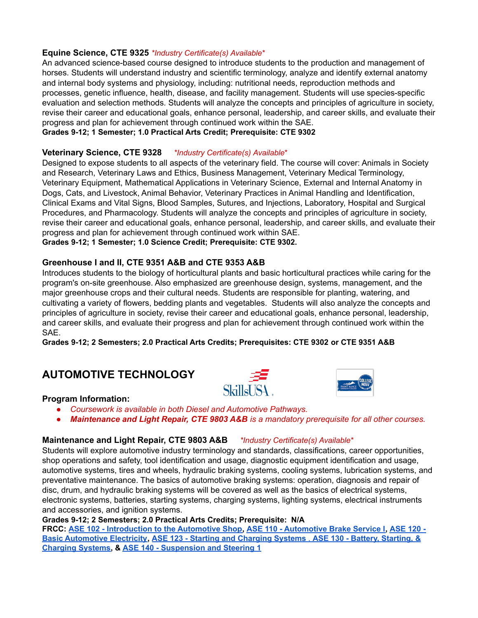#### **Equine Science, CTE 9325** *\*Industry Certificate(s) Available*\*

An advanced science-based course designed to introduce students to the production and management of horses. Students will understand industry and scientific terminology, analyze and identify external anatomy and internal body systems and physiology, including: nutritional needs, reproduction methods and processes, genetic influence, health, disease, and facility management. Students will use species-specific evaluation and selection methods. Students will analyze the concepts and principles of agriculture in society, revise their career and educational goals, enhance personal, leadership, and career skills, and evaluate their progress and plan for achievement through continued work within the SAE.

#### **Grades 9-12; 1 Semester; 1.0 Practical Arts Credit; Prerequisite: CTE 9302**

#### **Veterinary Science, CTE 9328** *\*Industry Certificate(s) Available*\*

Designed to expose students to all aspects of the veterinary field. The course will cover: Animals in Society and Research, Veterinary Laws and Ethics, Business Management, Veterinary Medical Terminology, Veterinary Equipment, Mathematical Applications in Veterinary Science, External and Internal Anatomy in Dogs, Cats, and Livestock, Animal Behavior, Veterinary Practices in Animal Handling and Identification, Clinical Exams and Vital Signs, Blood Samples, Sutures, and Injections, Laboratory, Hospital and Surgical Procedures, and Pharmacology. Students will analyze the concepts and principles of agriculture in society, revise their career and educational goals, enhance personal, leadership, and career skills, and evaluate their progress and plan for achievement through continued work within SAE.

**Grades 9-12; 1 Semester; 1.0 Science Credit; Prerequisite: CTE 9302.**

#### **Greenhouse I and II, CTE 9351 A&B and CTE 9353 A&B**

Introduces students to the biology of horticultural plants and basic horticultural practices while caring for the program's on-site greenhouse. Also emphasized are greenhouse design, systems, management, and the major greenhouse crops and their cultural needs. Students are responsible for planting, watering, and cultivating a variety of flowers, bedding plants and vegetables. Students will also analyze the concepts and principles of agriculture in society, revise their career and educational goals, enhance personal, leadership, and career skills, and evaluate their progress and plan for achievement through continued work within the SAE.

**Grades 9-12; 2 Semesters; 2.0 Practical Arts Credits; Prerequisites: CTE 9302 or CTE 9351 A&B**

# <span id="page-3-0"></span>**AUTOMOTIVE TECHNOLOGY**





#### **Program Information:**

- *● Coursework is available in both Diesel and Automotive Pathways.*
- *● Maintenance and Light Repair, CTE 9803 A&B is a mandatory prerequisite for all other courses.*

#### **Maintenance and Light Repair, CTE 9803 A&B** *\*Industry Certificate(s) Available*\*

Students will explore automotive industry terminology and standards, classifications, career opportunities, shop operations and safety, tool identification and usage, diagnostic equipment identification and usage, automotive systems, tires and wheels, hydraulic braking systems, cooling systems, lubrication systems, and preventative maintenance. The basics of automotive braking systems: operation, diagnosis and repair of disc, drum, and hydraulic braking systems will be covered as well as the basics of electrical systems, electronic systems, batteries, starting systems, charging systems, lighting systems, electrical instruments and accessories, and ignition systems.

#### **Grades 9-12; 2 Semesters; 2.0 Practical Arts Credits; Prerequisite: N/A**

FRCC: ASE 102 - [Introduction](https://frontrange.smartcatalogiq.com/Current/Catalog/Courses/ASE-Auto-Service-Technology/100/ASE-102) to the [Automotive](https://frontrange.smartcatalogiq.com/Current/Catalog/Courses/ASE-Auto-Service-Technology/100/ASE-110) Shop, [ASE](https://frontrange.smartcatalogiq.com/Current/Catalog/Courses/ASE-Auto-Service-Technology/100/ASE-120) 110 - Automotive Brake Service I, ASE 120 -**Basic [Automotive](https://frontrange.smartcatalogiq.com/Current/Catalog/Courses/ASE-Auto-Service-Technology/100/ASE-120) Electricity, ASE 123 - Starting and [Charging](https://frontrange.smartcatalogiq.com/Current/Catalog/Courses/ASE-Auto-Service-Technology/100/ASE-123) Systems** , **ASE 130 - Battery, [Starting,](https://frontrange.smartcatalogiq.com/en/Current/Catalog/Courses/ASE-Auto-Service-Technology/100/ASE-130) & [Charging](https://frontrange.smartcatalogiq.com/en/Current/Catalog/Courses/ASE-Auto-Service-Technology/100/ASE-130) Systems, & ASE 140 - [Suspension](https://frontrange.smartcatalogiq.com/Current/Catalog/Courses/ASE-Auto-Service-Technology/100/ASE-140) and Steering 1**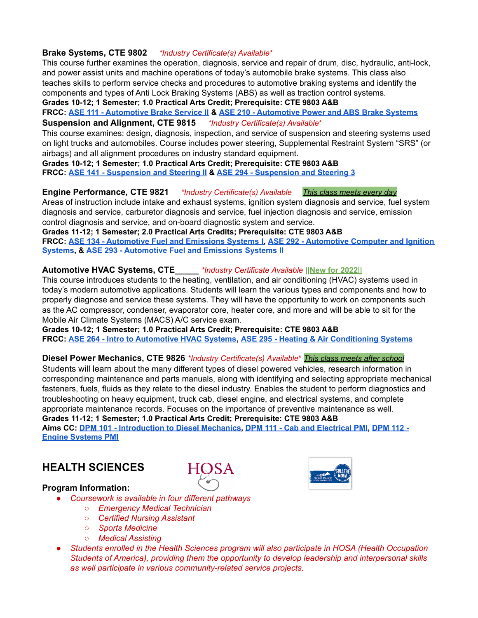#### **Brake Systems, CTE 9802** *\*Industry Certificate(s) Available*\*

This course further examines the operation, diagnosis, service and repair of drum, disc, hydraulic, anti-lock, and power assist units and machine operations of today's automobile brake systems. This class also teaches skills to perform service checks and procedures to automotive braking systems and identify the components and types of Anti Lock Braking Systems (ABS) as well as traction control systems.

**Grades 10-12; 1 Semester; 1.0 Practical Arts Credit; Prerequisite: CTE 9803 A&B**

#### **FRCC: ASE 111 - [Automotive](https://frontrange.smartcatalogiq.com/Current/Catalog/Courses/ASE-Auto-Service-Technology/100/ASE-111) Brake Service II & ASE 210 - [Automotive](https://frontrange.smartcatalogiq.com/Current/Catalog/Courses/ASE-Auto-Service-Technology/200/ASE-210) Power and ABS Brake Systems Suspension and Alignment, CTE 9815** *\*Industry Certificate(s) Available*\*

This course examines: design, diagnosis, inspection, and service of suspension and steering systems used on light trucks and automobiles. Course includes power steering, Supplemental Restraint System "SRS" (or airbags) and all alignment procedures on industry standard equipment.

**Grades 10-12; 1 Semester; 1.0 Practical Arts Credit; Prerequisite: CTE 9803 A&B FRCC: ASE 141 - [Suspension](https://frontrange.smartcatalogiq.com/Current/Catalog/Courses/ASE-Auto-Service-Technology/100/ASE-141) and Steering II & ASE 294 - [Suspension](https://frontrange.smartcatalogiq.com/Current/Catalog/Courses/ASE-Auto-Service-Technology/200/ASE-294) and Steering 3**

#### **Engine Performance, CTE 9821** *\*Industry Certificate(s) Available This class meets every day*

Areas of instruction include intake and exhaust systems, ignition system diagnosis and service, fuel system diagnosis and service, carburetor diagnosis and service, fuel injection diagnosis and service, emission control diagnosis and service, and on-board diagnostic system and service.

**Grades 11-12; 1 Semester; 2.0 Practical Arts Credits; Prerequisite: CTE 9803 A&B FRCC: ASE 134 - [Automotive](https://frontrange.smartcatalogiq.com/Current/Catalog/Courses/ASE-Auto-Service-Technology/100/ASE-134) Fuel and Emissions Systems I, ASE 292 - [Automotive](https://frontrange.smartcatalogiq.com/Current/Catalog/Courses/ASE-Auto-Service-Technology/200/ASE-292) Computer and Ignition [Systems](https://frontrange.smartcatalogiq.com/Current/Catalog/Courses/ASE-Auto-Service-Technology/200/ASE-292), & ASE 293 - [Automotive](https://frontrange.smartcatalogiq.com/Current/Catalog/Courses/ASE-Auto-Service-Technology/200/ASE-293) Fuel and Emissions Systems II**

#### **Automotive HVAC Systems, CTE\_\_\_\_\_** *\*Industry Certificate Available* **||New for 2022||**

This course introduces students to the heating, ventilation, and air conditioning (HVAC) systems used in today's modern automotive applications. Students will learn the various types and components and how to properly diagnose and service these systems. They will have the opportunity to work on components such as the AC compressor, condenser, evaporator core, heater core, and more and will be able to sit for the Mobile Air Climate Systems (MACS) A/C service exam.

**Grades 10-12; 1 Semester; 1.0 Practical Arts Credit; Prerequisite: CTE 9803 A&B FRCC: ASE 264 - Intro to [Automotive](https://frontrange.smartcatalogiq.com/Current/Catalog/Courses/ASE-Auto-Service-Technology/200/ASE-264) HVAC Systems, ASE 295 - Heating & Air [Conditioning](https://frontrange.smartcatalogiq.com/Current/Catalog/Courses/ASE-Auto-Service-Technology/200/ASE-295) Systems**

#### **Diesel Power Mechanics, CTE 9826** *\*Industry Certificate(s) Available*\* *This class meets after school*

Students will learn about the many different types of diesel powered vehicles, research information in corresponding maintenance and parts manuals, along with identifying and selecting appropriate mechanical fasteners, fuels, fluids as they relate to the diesel industry. Enables the student to perform diagnostics and troubleshooting on heavy equipment, truck cab, diesel engine, and electrical systems, and complete appropriate maintenance records. Focuses on the importance of preventive maintenance as well. **Grades 11-12; 1 Semester; 1.0 Practical Arts Credit; Prerequisite: CTE 9803 A&B**

Aims CC: DPM 101 - [Introduction](http://catalog.aims.edu/content.php?filter%5B27%5D=DPM&filter%5B29%5D=&filter%5Bcourse_type%5D=-1&filter%5Bkeyword%5D=&filter%5B32%5D=1&filter%5Bcpage%5D=1&cur_cat_oid=30&expand=&navoid=3277&search_database=Filter#acalog_template_course_filter) to Diesel Mechanics, DPM 111 - Cab and [Electrical](http://catalog.aims.edu/content.php?filter%5B27%5D=DPM&filter%5B29%5D=&filter%5Bcourse_type%5D=-1&filter%5Bkeyword%5D=&filter%5B32%5D=1&filter%5Bcpage%5D=1&cur_cat_oid=30&expand=&navoid=3277&search_database=Filter#acalog_template_course_filter) PMI, [DPM](http://catalog.aims.edu/content.php?filter%5B27%5D=DPM&filter%5B29%5D=&filter%5Bcourse_type%5D=-1&filter%5Bkeyword%5D=&filter%5B32%5D=1&filter%5Bcpage%5D=1&cur_cat_oid=30&expand=&navoid=3277&search_database=Filter#acalog_template_course_filter) 112 -**Engine [Systems](http://catalog.aims.edu/content.php?filter%5B27%5D=DPM&filter%5B29%5D=&filter%5Bcourse_type%5D=-1&filter%5Bkeyword%5D=&filter%5B32%5D=1&filter%5Bcpage%5D=1&cur_cat_oid=30&expand=&navoid=3277&search_database=Filter#acalog_template_course_filter) PMI**

**HOSA** 

# <span id="page-4-0"></span>**HEALTH SCIENCES**

#### **Program Information:**

- *● Coursework is available in four different pathways*
	- *○ Emergency Medical Technician*
	- *○ Certified Nursing Assistant*
	- *○ Sports Medicine*
	- *○ Medical Assisting*
- *● Students enrolled in the Health Sciences program will also participate in HOSA (Health Occupation Students of America), providing them the opportunity to develop leadership and interpersonal skills as well participate in various community-related service projects.*

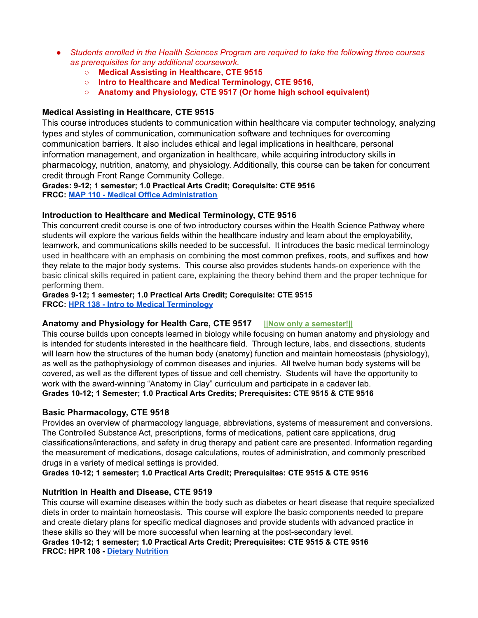- *● Students enrolled in the Health Sciences Program are required to take the following three courses as prerequisites for any additional coursework.*
	- **○ Medical Assisting in Healthcare, CTE 9515**
	- **Intro to Healthcare and Medical Terminology, CTE 9516,**
	- **Anatomy and Physiology, CTE 9517 (Or home high school equivalent)**

### **Medical Assisting in Healthcare, CTE 9515**

This course introduces students to communication within healthcare via computer technology, analyzing types and styles of communication, communication software and techniques for overcoming communication barriers. It also includes ethical and legal implications in healthcare, personal information management, and organization in healthcare, while acquiring introductory skills in pharmacology, nutrition, anatomy, and physiology. Additionally, this course can be taken for concurrent credit through Front Range Community College.

#### **Grades: 9-12; 1 semester; 1.0 Practical Arts Credit; Corequisite: CTE 9516 FRCC: MAP 110 - Medical Office [Administration](https://frontrange.smartcatalogiq.com/Current/Catalog/Courses/MAC-Medical-Assisting-Professional/100/MAP-110)**

### **Introduction to Healthcare and Medical Terminology, CTE 9516**

This concurrent credit course is one of two introductory courses within the Health Science Pathway where students will explore the various fields within the healthcare industry and learn about the employability, teamwork, and communications skills needed to be successful. It introduces the basic medical terminology used in healthcare with an emphasis on combining the most common prefixes, roots, and suffixes and how they relate to the major body systems. This course also provides students hands-on experience with the basic clinical skills required in patient care, explaining the theory behind them and the proper technique for performing them.

# **Grades 9-12; 1 semester; 1.0 Practical Arts Credit; Corequisite: CTE 9515**

**FRCC: HPR 138 - Intro to Medical [Terminology](https://frontrange.smartcatalogiq.com/Current/Catalog/Courses/HPR-Health-Professional/100/HPR-138)**

### **Anatomy and Physiology for Health Care, CTE 9517 ||Now only a semester!||**

This course builds upon concepts learned in biology while focusing on human anatomy and physiology and is intended for students interested in the healthcare field. Through lecture, labs, and dissections, students will learn how the structures of the human body (anatomy) function and maintain homeostasis (physiology), as well as the pathophysiology of common diseases and injuries. All twelve human body systems will be covered, as well as the different types of tissue and cell chemistry. Students will have the opportunity to work with the award-winning "Anatomy in Clay" curriculum and participate in a cadaver lab. **Grades 10-12; 1 Semester; 1.0 Practical Arts Credits; Prerequisites: CTE 9515 & CTE 9516**

#### **Basic Pharmacology, CTE 9518**

Provides an overview of pharmacology language, abbreviations, systems of measurement and conversions. The Controlled Substance Act, prescriptions, forms of medications, patient care applications, drug classifications/interactions, and safety in drug therapy and patient care are presented. Information regarding the measurement of medications, dosage calculations, routes of administration, and commonly prescribed drugs in a variety of medical settings is provided.

**Grades 10-12; 1 semester; 1.0 Practical Arts Credit; Prerequisites: CTE 9515 & CTE 9516**

### **Nutrition in Health and Disease, CTE 9519**

This course will examine diseases within the body such as diabetes or heart disease that require specialized diets in order to maintain homeostasis. This course will explore the basic components needed to prepare and create dietary plans for specific medical diagnoses and provide students with advanced practice in these skills so they will be more successful when learning at the post-secondary level.

**Grades 10-12; 1 semester; 1.0 Practical Arts Credit; Prerequisites: CTE 9515 & CTE 9516 FRCC: HPR 108 - Dietary [Nutrition](https://frontrange.smartcatalogiq.com/Current/Catalog/Courses/HPR-Health-Professional/100/HPR-108)**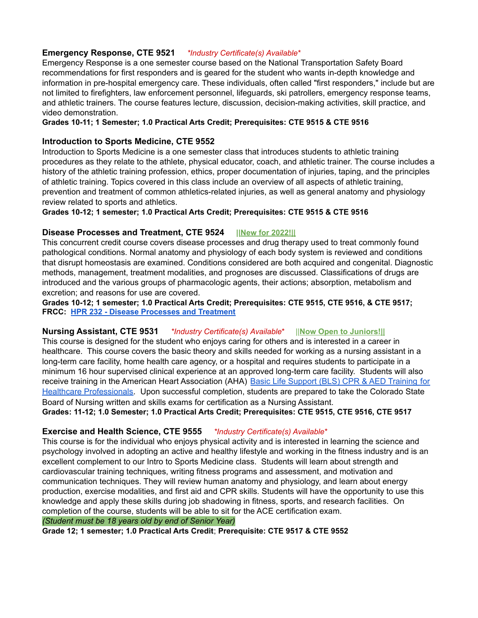#### **Emergency Response, CTE 9521** *\*Industry Certificate(s) Available*\*

Emergency Response is a one semester course based on the National Transportation Safety Board recommendations for first responders and is geared for the student who wants in-depth knowledge and information in pre-hospital emergency care. These individuals, often called "first responders," include but are not limited to firefighters, law enforcement personnel, lifeguards, ski patrollers, emergency response teams, and athletic trainers. The course features lecture, discussion, decision-making activities, skill practice, and video demonstration.

#### **Grades 10-11; 1 Semester; 1.0 Practical Arts Credit; Prerequisites: CTE 9515 & CTE 9516**

#### **Introduction to Sports Medicine, CTE 9552**

Introduction to Sports Medicine is a one semester class that introduces students to athletic training procedures as they relate to the athlete, physical educator, coach, and athletic trainer. The course includes a history of the athletic training profession, ethics, proper documentation of injuries, taping, and the principles of athletic training. Topics covered in this class include an overview of all aspects of athletic training, prevention and treatment of common athletics-related injuries, as well as general anatomy and physiology review related to sports and athletics.

**Grades 10-12; 1 semester; 1.0 Practical Arts Credit; Prerequisites: CTE 9515 & CTE 9516**

#### **Disease Processes and Treatment, CTE 9524 ||New for 2022!||**

This concurrent credit course covers disease processes and drug therapy used to treat commonly found pathological conditions. Normal anatomy and physiology of each body system is reviewed and conditions that disrupt homeostasis are examined. Conditions considered are both acquired and congenital. Diagnostic methods, management, treatment modalities, and prognoses are discussed. Classifications of drugs are introduced and the various groups of pharmacologic agents, their actions; absorption, metabolism and excretion; and reasons for use are covered.

**Grades 10-12; 1 semester; 1.0 Practical Arts Credit; Prerequisites: CTE 9515, CTE 9516, & CTE 9517; FRCC: HPR 232 - Disease [Processes](https://frontrange.smartcatalogiq.com/Current/Catalog/Courses/HPR-Health-Professional/200/HPR-232) and Treatment**

#### **Nursing Assistant, CTE 9531** *\*Industry Certificate(s) Available*\* ||**Now Open to Juniors!||**

This course is designed for the student who enjoys caring for others and is interested in a career in healthcare. This course covers the basic theory and skills needed for working as a nursing assistant in a long-term care facility, home health care agency, or a hospital and requires students to participate in a minimum 16 hour supervised clinical experience at an approved long-term care facility. Students will also receive training in the American Heart Association (AHA) [Basic Life Support \(BLS\) CPR & AED Training](https://cpr.heart.org/en/courses/basic-life-support-course-options) for [Healthcare Professionals](https://cpr.heart.org/en/courses/basic-life-support-course-options). Upon successful completion, students are prepared to take the Colorado State Board of Nursing written and skills exams for certification as a Nursing Assistant.

**Grades: 11-12; 1.0 Semester; 1.0 Practical Arts Credit; Prerequisites: CTE 9515, CTE 9516, CTE 9517**

#### **Exercise and Health Science, CTE 9555** *\*Industry Certificate(s) Available*\*

This course is for the individual who enjoys physical activity and is interested in learning the science and psychology involved in adopting an active and healthy lifestyle and working in the fitness industry and is an excellent complement to our Intro to Sports Medicine class. Students will learn about strength and cardiovascular training techniques, writing fitness programs and assessment, and motivation and communication techniques. They will review human anatomy and physiology, and learn about energy production, exercise modalities, and first aid and CPR skills. Students will have the opportunity to use this knowledge and apply these skills during job shadowing in fitness, sports, and research facilities. On completion of the course, students will be able to sit for the ACE certification exam.

#### *(Student must be 18 years old by end of Senior Year)*

**Grade 12; 1 semester; 1.0 Practical Arts Credit**; **Prerequisite: CTE 9517 & CTE 9552**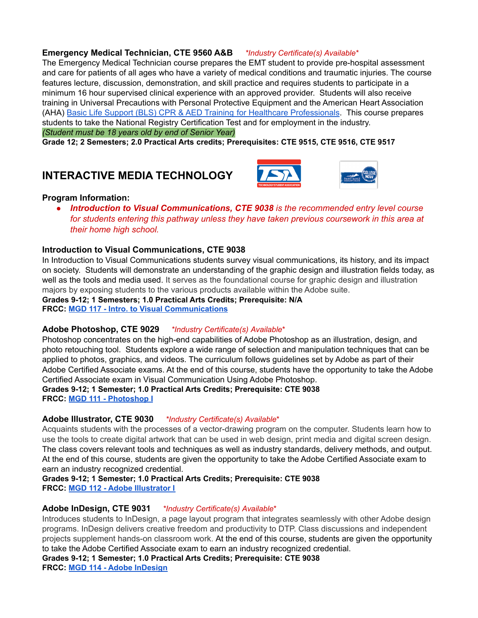#### **Emergency Medical Technician, CTE 9560 A&B** *\*Industry Certificate(s) Available*\*

The Emergency Medical Technician course prepares the EMT student to provide pre-hospital assessment and care for patients of all ages who have a variety of medical conditions and traumatic injuries. The course features lecture, discussion, demonstration, and skill practice and requires students to participate in a minimum 16 hour supervised clinical experience with an approved provider. Students will also receive training in Universal Precautions with Personal Protective Equipment and the American Heart Association (AHA) [Basic Life Support \(BLS\) CPR & AED Training](https://cpr.heart.org/en/courses/basic-life-support-course-options) for Healthcare Professionals. This course prepares students to take the National Registry Certification Test and for employment in the industry. *(Student must be 18 years old by end of Senior Year)*

**Grade 12; 2 Semesters; 2.0 Practical Arts credits; Prerequisites: CTE 9515, CTE 9516, CTE 9517**

# <span id="page-7-0"></span>**INTERACTIVE MEDIA TECHNOLOGY**





#### **Program Information:**

*● Introduction to Visual Communications, CTE 9038 is the recommended entry level course for students entering this pathway unless they have taken previous coursework in this area at their home high school.*

#### **Introduction to Visual Communications, CTE 9038**

In Introduction to Visual Communications students survey visual communications, its history, and its impact on society. Students will demonstrate an understanding of the graphic design and illustration fields today, as well as the tools and media used. It serves as the foundational course for graphic design and illustration majors by exposing students to the various products available within the Adobe suite.

**Grades 9-12; 1 Semesters; 1.0 Practical Arts Credits; Prerequisite: N/A FRCC: MGD 117 - Intro. to Visual [Communications](https://frontrange.smartcatalogiq.com/Current/Catalog/Courses/MGD-Multimedia-Graphic-Design/100/MGD-117)**

#### **Adobe Photoshop, CTE 9029** *\*Industry Certificate(s) Available*\*

Photoshop concentrates on the high-end capabilities of Adobe Photoshop as an illustration, design, and photo retouching tool. Students explore a wide range of selection and manipulation techniques that can be applied to photos, graphics, and videos. The curriculum follows guidelines set by Adobe as part of their Adobe Certified Associate exams. At the end of this course, students have the opportunity to take the Adobe Certified Associate exam in Visual Communication Using Adobe Photoshop.

**Grades 9-12; 1 Semester; 1.0 Practical Arts Credits; Prerequisite: CTE 9038 FRCC: MGD 111 - [Photoshop](https://frontrange.smartcatalogiq.com/Current/Catalog/Courses/MGD-Multimedia-Graphic-Design/100/MGD-111) I**

#### **Adobe Illustrator, CTE 9030** *\*Industry Certificate(s) Available*\*

Acquaints students with the processes of a vector-drawing program on the computer. Students learn how to use the tools to create digital artwork that can be used in web design, print media and digital screen design. The class covers relevant tools and techniques as well as industry standards, delivery methods, and output. At the end of this course, students are given the opportunity to take the Adobe Certified Associate exam to earn an industry recognized credential.

**Grades 9-12; 1 Semester; 1.0 Practical Arts Credits; Prerequisite: CTE 9038 FRCC: MGD 112 - Adobe [Illustrator](https://frontrange.smartcatalogiq.com/Current/Catalog/Courses/MGD-Multimedia-Graphic-Design/100/MGD-112) I**

#### **Adobe InDesign, CTE 9031** *\*Industry Certificate(s) Available*\*

Introduces students to InDesign, a page layout program that integrates seamlessly with other Adobe design programs. InDesign delivers creative freedom and productivity to DTP. Class discussions and independent projects supplement hands-on classroom work. At the end of this course, students are given the opportunity to take the Adobe Certified Associate exam to earn an industry recognized credential.

**Grades 9-12; 1 Semester; 1.0 Practical Arts Credits; Prerequisite: CTE 9038 FRCC: MGD 114 - Adobe [InDesign](https://frontrange.smartcatalogiq.com/Current/Catalog/Courses/MGD-Multimedia-Graphic-Design/100/MGD-114)**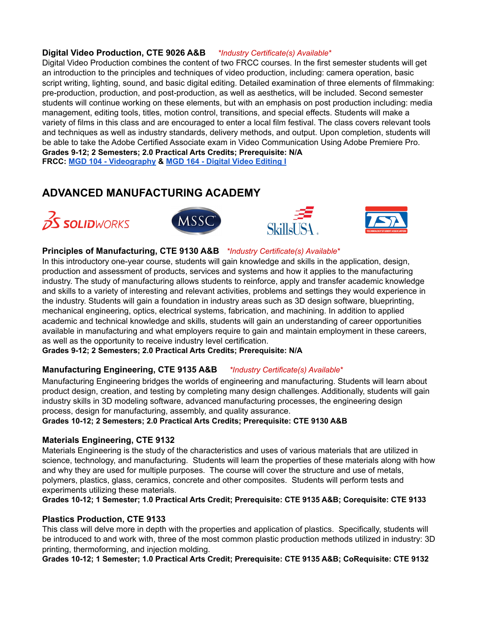#### **Digital Video Production, CTE 9026 A&B** *\*Industry Certificate(s) Available*\*

Digital Video Production combines the content of two FRCC courses. In the first semester students will get an introduction to the principles and techniques of video production, including: camera operation, basic script writing, lighting, sound, and basic digital editing. Detailed examination of three elements of filmmaking: pre-production, production, and post-production, as well as aesthetics, will be included. Second semester students will continue working on these elements, but with an emphasis on post production including: media management, editing tools, titles, motion control, transitions, and special effects. Students will make a variety of films in this class and are encouraged to enter a local film festival. The class covers relevant tools and techniques as well as industry standards, delivery methods, and output. Upon completion, students will be able to take the Adobe Certified Associate exam in Video Communication Using Adobe Premiere Pro. **Grades 9-12; 2 Semesters; 2.0 Practical Arts Credits; Prerequisite: N/A**

**FRCC: MGD 104 - [Videography](https://frontrange.smartcatalogiq.com/Current/Catalog/Courses/MGD-Multimedia-Graphic-Design/100/MGD-104) & MGD 164 - Digital Video [Editing](https://frontrange.smartcatalogiq.com/Current/Catalog/Courses/MGD-Multimedia-Graphic-Design/100/MGD-164) I**

# <span id="page-8-0"></span>**ADVANCED MANUFACTURING ACADEMY**









#### **Principles of Manufacturing, CTE 9130 A&B** *\*Industry Certificate(s) Available*\*

In this introductory one-year course, students will gain knowledge and skills in the application, design, production and assessment of products, services and systems and how it applies to the manufacturing industry. The study of manufacturing allows students to reinforce, apply and transfer academic knowledge and skills to a variety of interesting and relevant activities, problems and settings they would experience in the industry. Students will gain a foundation in industry areas such as 3D design software, blueprinting, mechanical engineering, optics, electrical systems, fabrication, and machining. In addition to applied academic and technical knowledge and skills, students will gain an understanding of career opportunities available in manufacturing and what employers require to gain and maintain employment in these careers, as well as the opportunity to receive industry level certification.

**Grades 9-12; 2 Semesters; 2.0 Practical Arts Credits; Prerequisite: N/A**

#### **Manufacturing Engineering, CTE 9135 A&B** *\*Industry Certificate(s) Available*\*

Manufacturing Engineering bridges the worlds of engineering and manufacturing. Students will learn about product design, creation, and testing by completing many design challenges. Additionally, students will gain industry skills in 3D modeling software, advanced manufacturing processes, the engineering design process, design for manufacturing, assembly, and quality assurance.

**Grades 10-12; 2 Semesters; 2.0 Practical Arts Credits; Prerequisite: CTE 9130 A&B**

#### **Materials Engineering, CTE 9132**

Materials Engineering is the study of the characteristics and uses of various materials that are utilized in science, technology, and manufacturing. Students will learn the properties of these materials along with how and why they are used for multiple purposes. The course will cover the structure and use of metals, polymers, plastics, glass, ceramics, concrete and other composites. Students will perform tests and experiments utilizing these materials.

**Grades 10-12; 1 Semester; 1.0 Practical Arts Credit; Prerequisite: CTE 9135 A&B; Corequisite: CTE 9133**

#### **Plastics Production, CTE 9133**

This class will delve more in depth with the properties and application of plastics. Specifically, students will be introduced to and work with, three of the most common plastic production methods utilized in industry: 3D printing, thermoforming, and injection molding.

**Grades 10-12; 1 Semester; 1.0 Practical Arts Credit; Prerequisite: CTE 9135 A&B; CoRequisite: CTE 9132**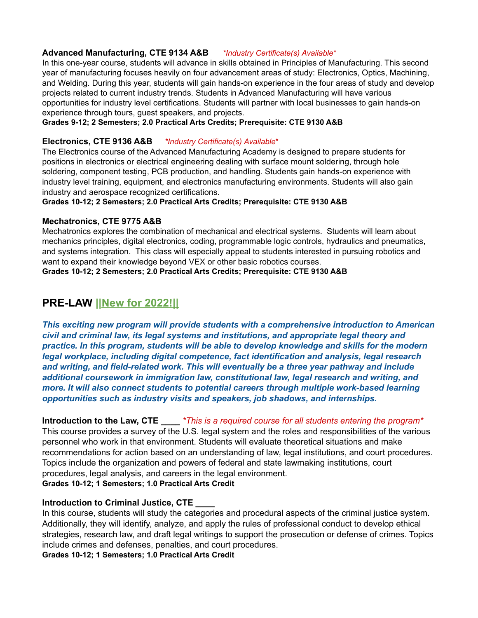#### **Advanced Manufacturing, CTE 9134 A&B** *\*Industry Certificate(s) Available*\*

In this one-year course, students will advance in skills obtained in Principles of Manufacturing. This second year of manufacturing focuses heavily on four advancement areas of study: Electronics, Optics, Machining, and Welding. During this year, students will gain hands-on experience in the four areas of study and develop projects related to current industry trends. Students in Advanced Manufacturing will have various opportunities for industry level certifications. Students will partner with local businesses to gain hands-on experience through tours, guest speakers, and projects.

#### **Grades 9-12; 2 Semesters; 2.0 Practical Arts Credits; Prerequisite: CTE 9130 A&B**

#### **Electronics, CTE 9136 A&B** *\*Industry Certificate(s) Available*\*

The Electronics course of the Advanced Manufacturing Academy is designed to prepare students for positions in electronics or electrical engineering dealing with surface mount soldering, through hole soldering, component testing, PCB production, and handling. Students gain hands-on experience with industry level training, equipment, and electronics manufacturing environments. Students will also gain industry and aerospace recognized certifications.

**Grades 10-12; 2 Semesters; 2.0 Practical Arts Credits; Prerequisite: CTE 9130 A&B**

#### **Mechatronics, CTE 9775 A&B**

Mechatronics explores the combination of mechanical and electrical systems. Students will learn about mechanics principles, digital electronics, coding, programmable logic controls, hydraulics and pneumatics, and systems integration. This class will especially appeal to students interested in pursuing robotics and want to expand their knowledge beyond VEX or other basic robotics courses.

#### **Grades 10-12; 2 Semesters; 2.0 Practical Arts Credits; Prerequisite: CTE 9130 A&B**

# <span id="page-9-0"></span>**PRE-LAW ||New for 2022!||**

*This exciting new program will provide students with a comprehensive introduction to American civil and criminal law, its legal systems and institutions, and appropriate legal theory and practice. In this program, students will be able to develop knowledge and skills for the modern legal workplace, including digital competence, fact identification and analysis, legal research and writing, and field-related work. This will eventually be a three year pathway and include additional coursework in immigration law, constitutional law, legal research and writing, and more. It will also connect students to potential careers through multiple work-based learning opportunities such as industry visits and speakers, job shadows, and internships.*

#### **Introduction to the Law, CTE \_\_\_\_** *\*This is a required course for all students entering the program\**

This course provides a survey of the U.S. legal system and the roles and responsibilities of the various personnel who work in that environment. Students will evaluate theoretical situations and make recommendations for action based on an understanding of law, legal institutions, and court procedures. Topics include the organization and powers of federal and state lawmaking institutions, court procedures, legal analysis, and careers in the legal environment. **Grades 10-12; 1 Semesters; 1.0 Practical Arts Credit**

#### **Introduction to Criminal Justice, CTE \_\_\_\_**

In this course, students will study the categories and procedural aspects of the criminal justice system. Additionally, they will identify, analyze, and apply the rules of professional conduct to develop ethical strategies, research law, and draft legal writings to support the prosecution or defense of crimes. Topics include crimes and defenses, penalties, and court procedures.

**Grades 10-12; 1 Semesters; 1.0 Practical Arts Credit**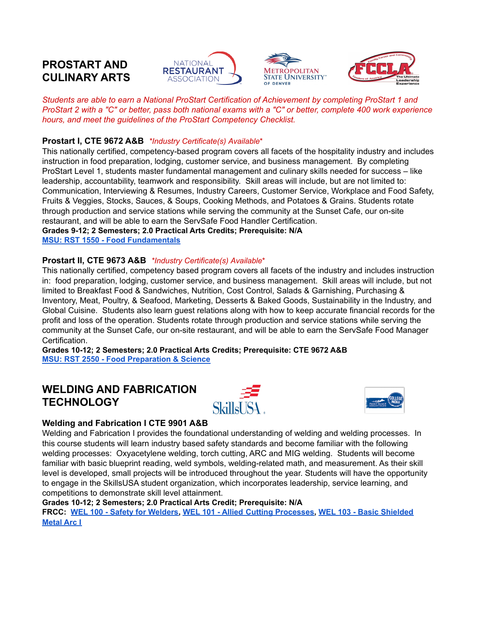# <span id="page-10-0"></span>**PROSTART AND CULINARY ARTS**







*Students are able to earn a National ProStart Certification of Achievement by completing ProStart 1 and ProStart 2 with a "C" or better, pass both national exams with a "C" or better, complete 400 work experience hours, and meet the guidelines of the ProStart Competency Checklist.*

### **Prostart I, CTE 9672 A&B** *\*Industry Certificate(s) Available*\*

This nationally certified, competency-based program covers all facets of the hospitality industry and includes instruction in food preparation, lodging, customer service, and business management. By completing ProStart Level 1, students master fundamental management and culinary skills needed for success – like leadership, accountability, teamwork and responsibility. Skill areas will include, but are not limited to: Communication, Interviewing & Resumes, Industry Careers, Customer Service, Workplace and Food Safety, Fruits & Veggies, Stocks, Sauces, & Soups, Cooking Methods, and Potatoes & Grains. Students rotate through production and service stations while serving the community at the Sunset Cafe, our on-site restaurant, and will be able to earn the ServSafe Food Handler Certification.

**Grades 9-12; 2 Semesters; 2.0 Practical Arts Credits; Prerequisite: N/A MSU: RST 1550 - Food [Fundamentals](https://catalog.msudenver.edu/preview_course_nopop.php?catoid=35&coid=96031)**

### **Prostart II, CTE 9673 A&B** *\*Industry Certificate(s) Available*\*

This nationally certified, competency based program covers all facets of the industry and includes instruction in: food preparation, lodging, customer service, and business management. Skill areas will include, but not limited to Breakfast Food & Sandwiches, Nutrition, Cost Control, Salads & Garnishing, Purchasing & Inventory, Meat, Poultry, & Seafood, Marketing, Desserts & Baked Goods, Sustainability in the Industry, and Global Cuisine. Students also learn guest relations along with how to keep accurate financial records for the profit and loss of the operation. Students rotate through production and service stations while serving the community at the Sunset Cafe, our on-site restaurant, and will be able to earn the ServSafe Food Manager Certification.

**Grades 10-12; 2 Semesters; 2.0 Practical Arts Credits; Prerequisite: CTE 9672 A&B MSU: RST 2550 - Food [Preparation](https://catalog.msudenver.edu/preview_course_nopop.php?catoid=35&coid=96032) & Science**

# <span id="page-10-1"></span>**WELDING AND FABRICATION TECHNOLOGY**





#### **Welding and Fabrication I CTE 9901 A&B**

Welding and Fabrication I provides the foundational understanding of welding and welding processes. In this course students will learn industry based safety standards and become familiar with the following welding processes: Oxyacetylene welding, torch cutting, ARC and MIG welding. Students will become familiar with basic blueprint reading, weld symbols, welding-related math, and measurement. As their skill level is developed, small projects will be introduced throughout the year. Students will have the opportunity to engage in the SkillsUSA student organization, which incorporates leadership, service learning, and competitions to demonstrate skill level attainment.

#### **Grades 10-12; 2 Semesters; 2.0 Practical Arts Credit; Prerequisite: N/A**

**FRCC: WEL 100 - Safety for [Welders,](https://frontrange.smartcatalogiq.com/Current/Catalog/Courses/WEL-Welding-Technology/100/WEL-100) WEL 101 - Allied Cutting [Processes,](https://frontrange.smartcatalogiq.com/Current/Catalog/Courses/WEL-Welding-Technology/100/WEL-101) WEL 103 - Basic [Shielded](https://frontrange.smartcatalogiq.com/Current/Catalog/Courses/WEL-Welding-Technology/100/WEL-103) [Metal](https://frontrange.smartcatalogiq.com/Current/Catalog/Courses/WEL-Welding-Technology/100/WEL-103) Arc I**